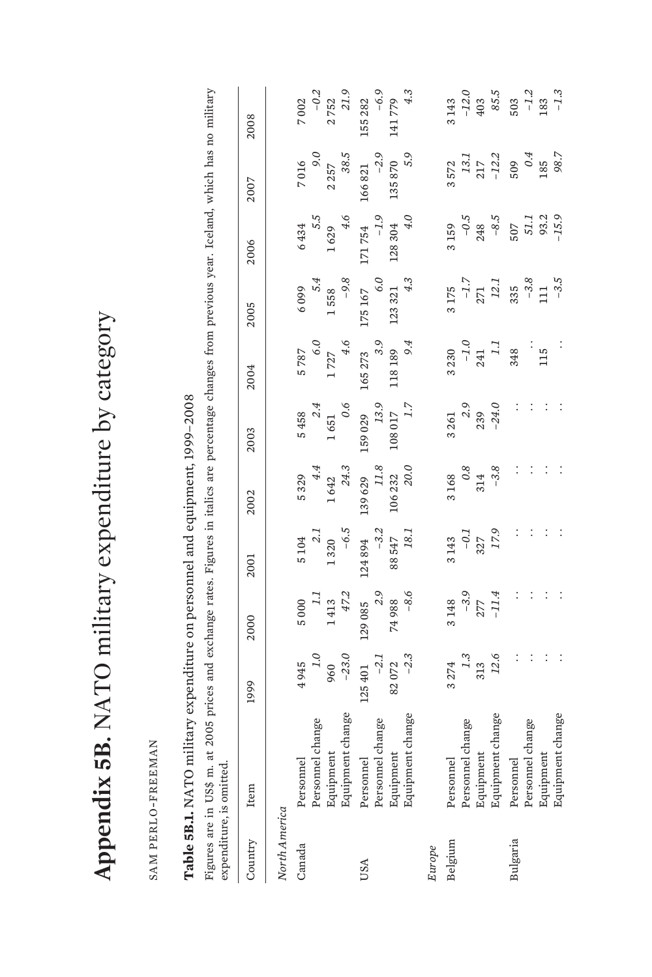| Noted that community contracts community of the community of the community of the community of the community of the community of the community of the community of the community of the community of the community of the comm<br>)<br> <br> <br>1<br>Í<br>֧֦֧֦֧ׅ֧ׅ֧֦֧ׅ֧֦֧ׅ֧֚֚֚֚֚֚֚֚֚֚֚֚֚֚֚֚֝֜֓֜֓֜֓֜֓ |
|-------------------------------------------------------------------------------------------------------------------------------------------------------------------------------------------------------------------------------------------------------------------------------------------------------|
|                                                                                                                                                                                                                                                                                                       |
| )<br> <br>                                                                                                                                                                                                                                                                                            |
| くしょう                                                                                                                                                                                                                                                                                                  |
|                                                                                                                                                                                                                                                                                                       |
| $\int$                                                                                                                                                                                                                                                                                                |
|                                                                                                                                                                                                                                                                                                       |
| Annonduv                                                                                                                                                                                                                                                                                              |
|                                                                                                                                                                                                                                                                                                       |
|                                                                                                                                                                                                                                                                                                       |
|                                                                                                                                                                                                                                                                                                       |
| Í                                                                                                                                                                                                                                                                                                     |

SAM PERLO-FREEMAN SAM PERLO-FREEMAN

## Table 5B.1. NATO military expenditure on personnel and equipment, 1999-2008 **Table 5B.1.** NATO military expenditure on personnel and equipment, 1999–2008

Figures are in US\$ m. at 2005 prices and exchange rates. Figures in italics are percentage changes from previous year. Iceland, which has no military Figures are in US\$ m. at 2005 prices and exchange rates. Figures in italics are percentage changes from previous year. Iceland, which has no military expenditure, is omitted. expenditure, is omitted.

| Country       | Item                                                                                                                | 1999                                                                           | 2000                                                      | 2001                                                                                                                                           | 2002                                                                                                                                                    | 2003                                                                                                                                                                                | 2004                                                                                                                               | 2005                                                                                                                            | 2006                                                                                                                            | 2007                                                                                                                                       | 2008                                                                                                             |
|---------------|---------------------------------------------------------------------------------------------------------------------|--------------------------------------------------------------------------------|-----------------------------------------------------------|------------------------------------------------------------------------------------------------------------------------------------------------|---------------------------------------------------------------------------------------------------------------------------------------------------------|-------------------------------------------------------------------------------------------------------------------------------------------------------------------------------------|------------------------------------------------------------------------------------------------------------------------------------|---------------------------------------------------------------------------------------------------------------------------------|---------------------------------------------------------------------------------------------------------------------------------|--------------------------------------------------------------------------------------------------------------------------------------------|------------------------------------------------------------------------------------------------------------------|
| North America |                                                                                                                     |                                                                                |                                                           |                                                                                                                                                |                                                                                                                                                         |                                                                                                                                                                                     |                                                                                                                                    |                                                                                                                                 |                                                                                                                                 |                                                                                                                                            |                                                                                                                  |
| Canada        | Personnel                                                                                                           |                                                                                |                                                           |                                                                                                                                                |                                                                                                                                                         |                                                                                                                                                                                     |                                                                                                                                    |                                                                                                                                 |                                                                                                                                 |                                                                                                                                            |                                                                                                                  |
|               | Personnel change<br>Equipment<br>Equipment change<br>Equipment<br>Personnel change<br>Personnel change<br>Equipment | $1.0$<br>$1.0$<br>$960$<br>$-23.0$<br>$-23.0$<br>$125$ 401<br>$-2.1$<br>$-2.3$ |                                                           | $\begin{matrix} & 5\ 104 \\ & 2.1 \\ & 1\ 320 \\ & -6.5 \\ & 124\ 894 \\ & -3.2 \\ & 88\ 547 \\ & 88\ 547 \\ & 18.1 \\ & 18.1 \\ \end{matrix}$ | $\begin{matrix} & 5\ 3299\\ & 4\ 4\ 2\\ & 1\ 642\\ & 24\ 3\\ & 24\ 3\\ & 139\ 629\\ & 11\ 8\\ & 106\ 232\\ & 20\ 22\ 2\\ & 20\ 0\\ & 20\ 0\end{matrix}$ | $\begin{matrix} & 5\ 458\\ & 2.4\\ & 1\ 651\\ & 0.6\\ & 0.5\\ & 159\ 029\\ & 13.9\\ & 108\ 017\\ & 108\ 017\\ & 1.7\\ & 1.7\\ & 1.7\\ & 1.7\\ & 1.7\\ & 1.7\\ & 1.7\\ \end{matrix}$ | $\begin{matrix} 5\,787 \\ 6.0 \\ 1\,727 \\ 4.6 \\ 165\,273 \\ 3.9 \\ 118\,189 \\ 118\,189 \\ 118\,189 \\ 118\,189 \\ \end{matrix}$ | $\begin{array}{r} 6\ 099 \\ 5.4 \\ 1\ 558 \\ -9.8 \\ 175\ 167 \\ 6.0 \\ 123\ 321 \\ 123\ 321 \\ 123\ 321 \\ 4.3 \\ \end{array}$ | $\begin{array}{r} 6\ 434 \\ 5.5 \\ 1\ 629 \\ 4.6 \\ 171\ 754 \\ -1.9 \\ 128\ 304 \\ 128\ 304 \\ 128\ 304 \\ 4.0 \\ \end{array}$ | $\begin{array}{r}\n 7 \ 016 \\  9.0 \\  2 \ 257 \\  38.5 \\  36.5 \\  166 \ 821 \\  -2.9 \\  135 \ 870 \\  135 \ 870 \\  5.9\n\end{array}$ | $\begin{array}{r}\n 7\ 002 \\  -0.2 \\  2\ 752 \\  21.9 \\  155\ 282 \\  -6.9 \\  141\ 779 \\  4.3\n\end{array}$ |
|               |                                                                                                                     |                                                                                |                                                           |                                                                                                                                                |                                                                                                                                                         |                                                                                                                                                                                     |                                                                                                                                    |                                                                                                                                 |                                                                                                                                 |                                                                                                                                            |                                                                                                                  |
| USA           |                                                                                                                     |                                                                                |                                                           |                                                                                                                                                |                                                                                                                                                         |                                                                                                                                                                                     |                                                                                                                                    |                                                                                                                                 |                                                                                                                                 |                                                                                                                                            |                                                                                                                  |
|               |                                                                                                                     |                                                                                |                                                           |                                                                                                                                                |                                                                                                                                                         |                                                                                                                                                                                     |                                                                                                                                    |                                                                                                                                 |                                                                                                                                 |                                                                                                                                            |                                                                                                                  |
|               |                                                                                                                     |                                                                                |                                                           |                                                                                                                                                |                                                                                                                                                         |                                                                                                                                                                                     |                                                                                                                                    |                                                                                                                                 |                                                                                                                                 |                                                                                                                                            |                                                                                                                  |
|               |                                                                                                                     |                                                                                |                                                           |                                                                                                                                                |                                                                                                                                                         |                                                                                                                                                                                     |                                                                                                                                    |                                                                                                                                 |                                                                                                                                 |                                                                                                                                            |                                                                                                                  |
| Europe        |                                                                                                                     |                                                                                |                                                           |                                                                                                                                                |                                                                                                                                                         |                                                                                                                                                                                     |                                                                                                                                    |                                                                                                                                 |                                                                                                                                 |                                                                                                                                            |                                                                                                                  |
| Belgium       | Personnel                                                                                                           |                                                                                |                                                           |                                                                                                                                                |                                                                                                                                                         |                                                                                                                                                                                     |                                                                                                                                    |                                                                                                                                 |                                                                                                                                 |                                                                                                                                            |                                                                                                                  |
|               |                                                                                                                     |                                                                                |                                                           |                                                                                                                                                |                                                                                                                                                         |                                                                                                                                                                                     |                                                                                                                                    |                                                                                                                                 |                                                                                                                                 |                                                                                                                                            |                                                                                                                  |
|               |                                                                                                                     |                                                                                |                                                           |                                                                                                                                                |                                                                                                                                                         |                                                                                                                                                                                     |                                                                                                                                    |                                                                                                                                 |                                                                                                                                 |                                                                                                                                            |                                                                                                                  |
|               | Personnel change<br>Equipment<br>Equipment change<br>Personnel                                                      | $\begin{array}{c} 274 \\ 7 \ 1 \ 3 \ 2 \ 2 \end{array}$ : : : :                | 3 148<br>$-3,9$<br>$277$<br>$-1.14$<br>$-1.14$<br>$-1.14$ | $3143$<br>$-0.1$<br>$327$<br>$17.9$<br>$17.9$<br>$17.9$                                                                                        |                                                                                                                                                         |                                                                                                                                                                                     | $\begin{array}{r} 3\,230 \\ -1.0 \\ 241 \\ 341 \\ 38 \\ \end{array} \quad \  \, \vdots \quad \  \, \, .$                           | $\begin{array}{c} 3 \ 175 \\ -1.7 \\ 271 \\ 211 \\ 12.1 \\ 335 \\ -3.8 \\ 111 \\ -3.5 \end{array}$                              | $\begin{matrix} 3 & 159 \\ -0.5 \\ 248 \\ 507 \\ 507 \\ 51.1 \\ 51.1 \\ 93.2 \\ -15.9 \end{matrix}$                             | $\begin{array}{r} 3\,572 \\ 13.1 \\ 13.1 \\ 217 \\ -12.2 \\ 509 \\ 64 \\ 185 \\ 98.7 \\ \end{array}$                                       | $\begin{array}{c} 3 \ 143 \\ -12.0 \\ 403 \\ 85.5 \\ 503 \\ -1.2 \\ 183 \\ -1.3 \end{array}$                     |
| Bulgaria      | Personnel                                                                                                           |                                                                                |                                                           |                                                                                                                                                |                                                                                                                                                         |                                                                                                                                                                                     |                                                                                                                                    |                                                                                                                                 |                                                                                                                                 |                                                                                                                                            |                                                                                                                  |
|               | Personnel change<br>Equipment                                                                                       |                                                                                |                                                           |                                                                                                                                                |                                                                                                                                                         |                                                                                                                                                                                     |                                                                                                                                    |                                                                                                                                 |                                                                                                                                 |                                                                                                                                            |                                                                                                                  |
|               | Equipment                                                                                                           |                                                                                |                                                           |                                                                                                                                                |                                                                                                                                                         |                                                                                                                                                                                     |                                                                                                                                    |                                                                                                                                 |                                                                                                                                 |                                                                                                                                            |                                                                                                                  |
|               | Equipment change                                                                                                    |                                                                                |                                                           |                                                                                                                                                |                                                                                                                                                         |                                                                                                                                                                                     |                                                                                                                                    |                                                                                                                                 |                                                                                                                                 |                                                                                                                                            |                                                                                                                  |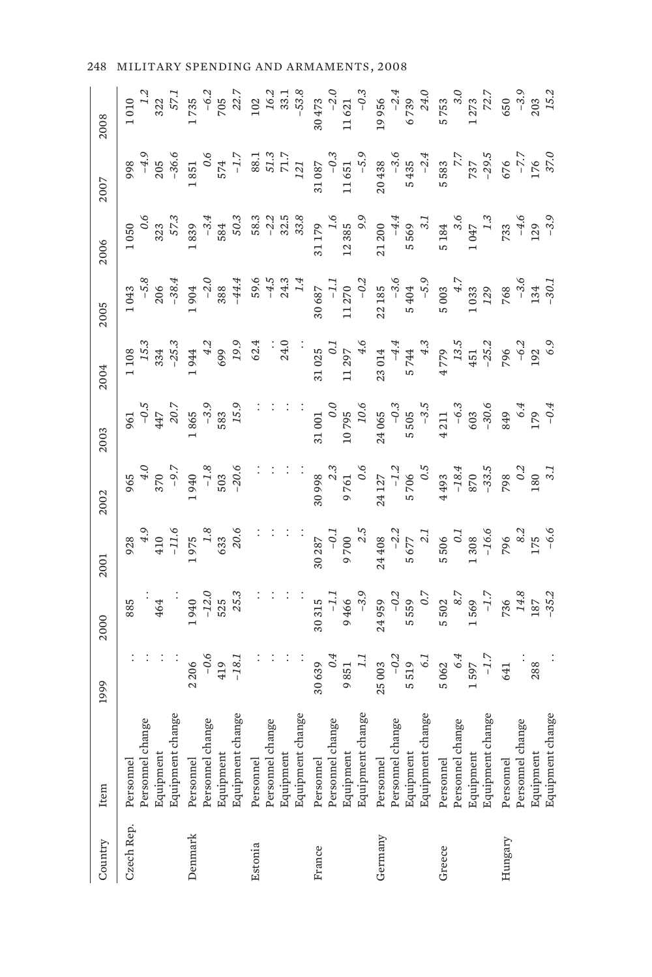| Country    | Item                                                           | 1999                                      | 2000                                  | 2001                                                      | 2002                                                                                         | 2003                                                           | 2004                               | 2005                                                                                       | 2006                                                            | 2007                                                      | 2008                                                                  |
|------------|----------------------------------------------------------------|-------------------------------------------|---------------------------------------|-----------------------------------------------------------|----------------------------------------------------------------------------------------------|----------------------------------------------------------------|------------------------------------|--------------------------------------------------------------------------------------------|-----------------------------------------------------------------|-----------------------------------------------------------|-----------------------------------------------------------------------|
| Czech Rep. | Equipment change<br>Personnel change<br>Equipment<br>Personnel |                                           | 885<br>464                            | 410                                                       | $370$<br>-9.3                                                                                | 961<br>$-0.4$<br>$+47$<br>$20.7$                               | $15.34$<br>$-25.3$<br>1 108        | $-5.38$<br>1043                                                                            | 323<br>1050                                                     | $-4.9$<br>$-36.0$                                         | 322.<br>1010                                                          |
| Denmark    | Equipment change<br>Personnel change<br>Equipment<br>Personnel | $-18.$<br>$\dot{\phi}$<br>2206<br>419     | $-12.0$<br>525<br>25.3<br>1940        | 20.6<br>$\begin{array}{c} 1.8 \\ 633 \end{array}$<br>1975 | $-1.8$<br>503<br>$-20.6$<br>1940                                                             | $\begin{array}{r} 1865 \\ -3.9 \\ 583 \\ 15.9 \end{array}$     | 19.9<br>1944<br>699                | $-2.0$<br>388<br>$-44.4$<br>1904                                                           | 50.3<br>$-3.5$<br>1839<br>584                                   | $-1$ .<br>$\ddot{\circ}$<br>574<br>1851                   | 1735                                                                  |
| Estonia    | Equipment change<br>Personnel change<br>Equipment<br>Personnel |                                           |                                       |                                                           |                                                                                              |                                                                | 24.0<br>62.4                       | 59.6<br>$-4.3$<br>24.3                                                                     | $-2.3$<br>$-3.3$<br>$-3.3$<br>58.3                              | 88.<br>$\begin{array}{c} 51.3 \\ 71.7 \\ 121 \end{array}$ | $-6.2$<br>$705$<br>$22.7$<br>$102$<br>$16.2$<br>$33.1$<br>$-53.8$     |
| France     | Equipment change<br>Personnel change<br>Equipment<br>Personnel | 6.0<br>30639<br>9851                      | $-3.9$<br>$\overline{z}$<br>9466      | $-0.1$<br>9 700<br>2.5<br>30 287                          | $9761$<br>$0.6$<br>$30998$<br>$2.5$                                                          | $\begin{array}{c} 0.0 \\ 10\ 795 \\ 10.6 \end{array}$<br>31001 | $11\,297$<br>$4.6$<br>0.1<br>31025 | $\begin{array}{r} 30\,\,687 \\ -1.1 \\ 11\,\,270 \\ -0.2 \end{array}$                      | $\begin{array}{c} 31\,179 \\ 1.6 \\ 12\,385 \\ 9.9 \end{array}$ | $-0.3$<br>11 651<br>-5.9<br>31087                         | $\begin{array}{c} -4 \\ 11621 \\ -0.3 \end{array}$<br>$30473$<br>-2.0 |
| Germany    | Equipment change<br>Personnel change<br>Equipment<br>Personnel | $-0.2$<br>$\ddot{\circ}$<br>25003<br>5519 | $24959$<br>-0.2<br>5559<br>5590.7     | $24\,408$<br>-2.2<br>5 677<br>3.1                         | $24$ 127<br>-12<br>5 706<br>5 706<br>0.5                                                     | $24065$<br>-0.3<br>5 505<br>5.5                                | $5744$<br>4.3<br>$-4.4$<br>23014   | $22$ 185<br>-3.6<br>5 404<br>5.9                                                           | $21\ 200$<br>$-4.4$<br>5 569<br>3.1                             | $-3.6$<br>5 435<br>-2.4<br>20438                          | 19 956<br>-2.4<br>6 739<br>24.0                                       |
| Greece     | Equipment change<br>Personnel change<br>Equipment<br>Personnel | 6.4<br>$1597$<br>$-1.7$<br>5062           | $1569$<br>$-1.7$<br>$5\,502$<br>$8.7$ |                                                           |                                                                                              | $4211$<br>-6.3<br>603<br>-30.6                                 | $4779$<br>13.5<br>$451$<br>$-25.2$ | $\begin{array}{c} 5003 \\ 4.7 \end{array}$<br>$\begin{array}{c} 1.033 \\ 1.29 \end{array}$ | $\begin{array}{c} 5\ 184 \\ 3.6 \\ 1\ 047 \\ 1.3 \end{array}$   | $7.37$<br>$-29.5$<br>5 583                                | $\begin{array}{c} 5753 \\ 31 \\ 1273 \\ 72.7 \end{array}$             |
| Hungary    | Equipment change<br>Personnel change<br>Equipment<br>Personnel | 288<br>641                                | $\frac{14.8}{187}$<br>-35.2<br>736    | 5 506<br>0.1<br>1 308<br>1 306<br>7 306<br>7 30<br>1 506  | $4493$<br>$-18.4$<br>$-18.4$<br>$-78.3$<br>$-79.6$<br>$79.0$<br>$-79.2$<br>$-18.4$<br>$79.2$ | 849<br>179<br>179<br>-0.4                                      | $796$<br>-6.2<br>192<br>6.9        | $768$<br>$-3.4$<br>$134$<br>$-30$                                                          | $733$<br>$-4.6$<br>129<br>-3.9                                  | $676$<br>176<br>176<br>176                                | $650$<br>$-3.9$<br>$203$<br>$15.2$                                    |

248 MILITARY SPENDING AND ARMAMENTS, 2008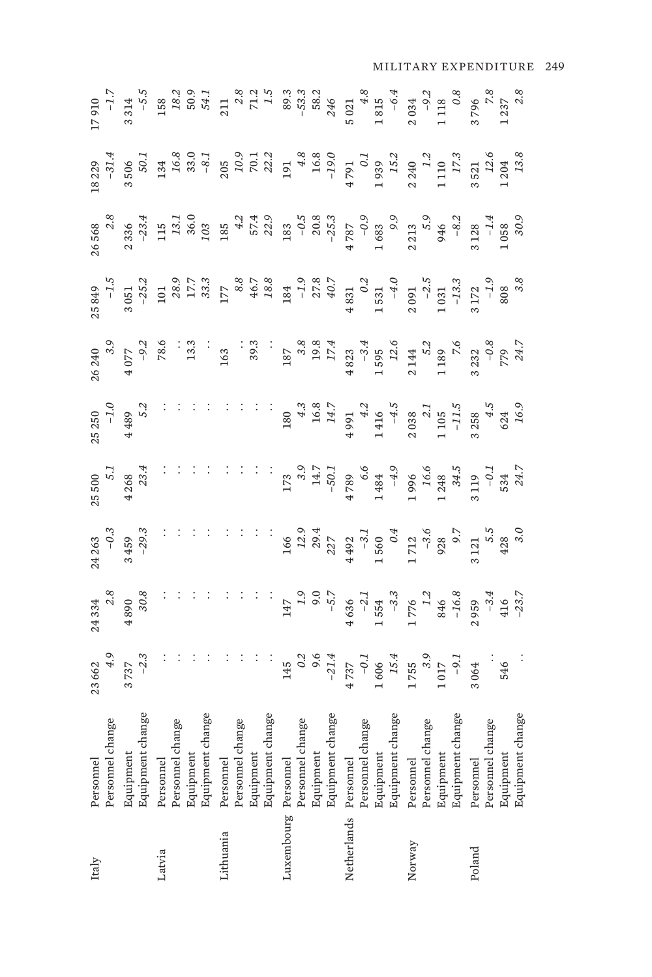| Italy                 | Personnel                                                                                                                                                                                                                                                                                                                                                                                                                                                                                                                     |                                                                                                                                           |                                                                                                                                                                                                                                                                                                                                                  |                                                                                                                                                                                                                                                                                                                |                                                            |  |                                                                                                                                                                                                                                                                                                                        |                                                                                                            |                                                                                                                                                                                                                                                                                                                          |  |
|-----------------------|-------------------------------------------------------------------------------------------------------------------------------------------------------------------------------------------------------------------------------------------------------------------------------------------------------------------------------------------------------------------------------------------------------------------------------------------------------------------------------------------------------------------------------|-------------------------------------------------------------------------------------------------------------------------------------------|--------------------------------------------------------------------------------------------------------------------------------------------------------------------------------------------------------------------------------------------------------------------------------------------------------------------------------------------------|----------------------------------------------------------------------------------------------------------------------------------------------------------------------------------------------------------------------------------------------------------------------------------------------------------------|------------------------------------------------------------|--|------------------------------------------------------------------------------------------------------------------------------------------------------------------------------------------------------------------------------------------------------------------------------------------------------------------------|------------------------------------------------------------------------------------------------------------|--------------------------------------------------------------------------------------------------------------------------------------------------------------------------------------------------------------------------------------------------------------------------------------------------------------------------|--|
|                       | Personnel change                                                                                                                                                                                                                                                                                                                                                                                                                                                                                                              |                                                                                                                                           |                                                                                                                                                                                                                                                                                                                                                  |                                                                                                                                                                                                                                                                                                                |                                                            |  |                                                                                                                                                                                                                                                                                                                        |                                                                                                            |                                                                                                                                                                                                                                                                                                                          |  |
|                       |                                                                                                                                                                                                                                                                                                                                                                                                                                                                                                                               | $23662$<br>4.9<br>3737<br>3737                                                                                                            |                                                                                                                                                                                                                                                                                                                                                  |                                                                                                                                                                                                                                                                                                                |                                                            |  |                                                                                                                                                                                                                                                                                                                        |                                                                                                            |                                                                                                                                                                                                                                                                                                                          |  |
|                       | Equipment<br>Equipment change                                                                                                                                                                                                                                                                                                                                                                                                                                                                                                 |                                                                                                                                           | $24334$<br>2.8<br>4890<br>30.8                                                                                                                                                                                                                                                                                                                   | $24\frac{1}{2}$<br>-0.3<br>3 459<br>3 459<br>-29.3<br>: :                                                                                                                                                                                                                                                      | $25500$<br>$5.1$<br>$4268$<br>$4234$<br>$33.4$<br>$\vdots$ |  |                                                                                                                                                                                                                                                                                                                        |                                                                                                            |                                                                                                                                                                                                                                                                                                                          |  |
| Latvia                | Personnel                                                                                                                                                                                                                                                                                                                                                                                                                                                                                                                     |                                                                                                                                           |                                                                                                                                                                                                                                                                                                                                                  |                                                                                                                                                                                                                                                                                                                |                                                            |  |                                                                                                                                                                                                                                                                                                                        |                                                                                                            |                                                                                                                                                                                                                                                                                                                          |  |
|                       | .<br>Personnel change                                                                                                                                                                                                                                                                                                                                                                                                                                                                                                         |                                                                                                                                           |                                                                                                                                                                                                                                                                                                                                                  |                                                                                                                                                                                                                                                                                                                |                                                            |  |                                                                                                                                                                                                                                                                                                                        |                                                                                                            |                                                                                                                                                                                                                                                                                                                          |  |
|                       |                                                                                                                                                                                                                                                                                                                                                                                                                                                                                                                               |                                                                                                                                           |                                                                                                                                                                                                                                                                                                                                                  |                                                                                                                                                                                                                                                                                                                |                                                            |  |                                                                                                                                                                                                                                                                                                                        |                                                                                                            |                                                                                                                                                                                                                                                                                                                          |  |
|                       | r<br>Equipment<br>Equipment change                                                                                                                                                                                                                                                                                                                                                                                                                                                                                            |                                                                                                                                           |                                                                                                                                                                                                                                                                                                                                                  |                                                                                                                                                                                                                                                                                                                |                                                            |  |                                                                                                                                                                                                                                                                                                                        |                                                                                                            |                                                                                                                                                                                                                                                                                                                          |  |
| Lithuania             |                                                                                                                                                                                                                                                                                                                                                                                                                                                                                                                               |                                                                                                                                           |                                                                                                                                                                                                                                                                                                                                                  |                                                                                                                                                                                                                                                                                                                |                                                            |  |                                                                                                                                                                                                                                                                                                                        |                                                                                                            |                                                                                                                                                                                                                                                                                                                          |  |
|                       |                                                                                                                                                                                                                                                                                                                                                                                                                                                                                                                               |                                                                                                                                           |                                                                                                                                                                                                                                                                                                                                                  |                                                                                                                                                                                                                                                                                                                |                                                            |  |                                                                                                                                                                                                                                                                                                                        |                                                                                                            |                                                                                                                                                                                                                                                                                                                          |  |
|                       |                                                                                                                                                                                                                                                                                                                                                                                                                                                                                                                               |                                                                                                                                           |                                                                                                                                                                                                                                                                                                                                                  |                                                                                                                                                                                                                                                                                                                |                                                            |  |                                                                                                                                                                                                                                                                                                                        |                                                                                                            |                                                                                                                                                                                                                                                                                                                          |  |
|                       |                                                                                                                                                                                                                                                                                                                                                                                                                                                                                                                               |                                                                                                                                           |                                                                                                                                                                                                                                                                                                                                                  | Ť,                                                                                                                                                                                                                                                                                                             |                                                            |  |                                                                                                                                                                                                                                                                                                                        |                                                                                                            |                                                                                                                                                                                                                                                                                                                          |  |
| Luxembourg Personnel  |                                                                                                                                                                                                                                                                                                                                                                                                                                                                                                                               |                                                                                                                                           |                                                                                                                                                                                                                                                                                                                                                  |                                                                                                                                                                                                                                                                                                                |                                                            |  |                                                                                                                                                                                                                                                                                                                        |                                                                                                            |                                                                                                                                                                                                                                                                                                                          |  |
|                       |                                                                                                                                                                                                                                                                                                                                                                                                                                                                                                                               |                                                                                                                                           |                                                                                                                                                                                                                                                                                                                                                  |                                                                                                                                                                                                                                                                                                                |                                                            |  |                                                                                                                                                                                                                                                                                                                        |                                                                                                            |                                                                                                                                                                                                                                                                                                                          |  |
|                       |                                                                                                                                                                                                                                                                                                                                                                                                                                                                                                                               |                                                                                                                                           |                                                                                                                                                                                                                                                                                                                                                  |                                                                                                                                                                                                                                                                                                                |                                                            |  |                                                                                                                                                                                                                                                                                                                        |                                                                                                            |                                                                                                                                                                                                                                                                                                                          |  |
|                       |                                                                                                                                                                                                                                                                                                                                                                                                                                                                                                                               |                                                                                                                                           |                                                                                                                                                                                                                                                                                                                                                  |                                                                                                                                                                                                                                                                                                                |                                                            |  |                                                                                                                                                                                                                                                                                                                        |                                                                                                            |                                                                                                                                                                                                                                                                                                                          |  |
| Netherlands Personnel |                                                                                                                                                                                                                                                                                                                                                                                                                                                                                                                               |                                                                                                                                           |                                                                                                                                                                                                                                                                                                                                                  |                                                                                                                                                                                                                                                                                                                |                                                            |  |                                                                                                                                                                                                                                                                                                                        |                                                                                                            |                                                                                                                                                                                                                                                                                                                          |  |
|                       |                                                                                                                                                                                                                                                                                                                                                                                                                                                                                                                               |                                                                                                                                           |                                                                                                                                                                                                                                                                                                                                                  |                                                                                                                                                                                                                                                                                                                |                                                            |  |                                                                                                                                                                                                                                                                                                                        |                                                                                                            |                                                                                                                                                                                                                                                                                                                          |  |
|                       |                                                                                                                                                                                                                                                                                                                                                                                                                                                                                                                               |                                                                                                                                           |                                                                                                                                                                                                                                                                                                                                                  |                                                                                                                                                                                                                                                                                                                |                                                            |  |                                                                                                                                                                                                                                                                                                                        |                                                                                                            |                                                                                                                                                                                                                                                                                                                          |  |
|                       | $\begin{tabular}{l} \bf Equipment \\ \bf Equipment \\ \bf Persound \\ \bf Personnel \\ \bf Equipment \\ \bf Equipment \\ \bf Personnel \\ \bf Personnel \\ \bf Personnel \\ \bf Personnel \\ \bf Equipment \\ \bf Equipment \\ \bf Equipment \\ \bf Personnel \\ \bf Personnel \\ \bf Personnel \\ \bf Personnel \\ \bf Equipment \\ \bf Equipment \\ \bf Equipment \\ \bf Equipment \\ \bf Equipment \\ \bf Personnel \\ \bf Personnel \\ \bf Personnel \\ \bf Personnel \\ \bf Personnel \\ \bf Personnel \\ \end{tabular}$ | $\begin{array}{r} 145 \\ 0.2 \\ -21.4 \\ 4.737 \\ 1.606 \\ 1.606 \\ 1.755 \\ 1.755 \\ 3.9 \\ 0.3 \\ 0.4 \\ 0.3 \\ 0.4 \\ \end{array} \ .$ | $\begin{array}{r} 147 \\ 190 \\ -5.7 \\ 4636 \\ -5.7 \\ 1554 \\ -5.7 \\ 176 \\ -7.6 \\ 364 \\ -176 \\ -10.6 \\ -10.3 \\ -10.4 \\ -10.3 \\ -10.4 \\ -10.3 \\ -10.4 \\ -10.3 \\ -10.4 \\ -10.3 \\ -10.4 \\ -10.3 \\ -10.4 \\ -10.4 \\ -10.4 \\ -10.4 \\ -10.4 \\ -10.4 \\ -10.4 \\ -10.4 \\ -10.4 \\ -10.4 \\ -10.4 \\ -10.4 \\ -10.4 \\ -10.4 \\$ | $\begin{array}{cccc} 166\\ 12.9\\ 12.9\\ 237\\ 4 & -3.0\\ 1 & 0\\ 0 & 0\\ 1 & 0\\ 0 & 0\\ 1 & 0\\ 2 & 0\\ 2 & 0\\ 2 & 0\\ 2 & 0\\ 2 & 0\\ 2 & 0\\ 2 & 0\\ 2 & 0\\ 2 & 0\\ 2 & 0\\ 2 & 0\\ 2 & 0\\ 2 & 0\\ 2 & 0\\ 2 & 0\\ 2 & 0\\ 2 & 0\\ 2 & 0\\ 2 & 0\\ 2 & 0\\ 2 & 0\\ 2 & 0\\ 2 & 0\\ 2 & 0\\ 2 & 0\\ 2 &$ |                                                            |  | $\begin{smallmatrix} 3499\\ 1 & -1 & -1\\ 1 & -1 & 2\\ 0 & 5 & -2\\ 0 & 0 & 1\\ 0 & 0 & 2\\ 0 & 0 & 0\\ 0 & 0 & 0 & -1\\ 0 & 0 & 0 & 0\\ 0 & 0 & 0 & 0\\ 0 & 0 & 0 & 0\\ 0 & 0 & 0 & 0\\ 0 & 0 & 0 & 0\\ 0 & 0 & 0 & 0\\ 0 & 0 & 0 & 0\\ 0 & 0 & 0 & 0\\ 0 & 0 & 0 & 0\\ 0 & 0 & 0 & 0\\ 0 & 0 & 0 & 0\\ 0 & 0 & 0 & $ | $\begin{smallmatrix} 368\\ 568\\ 2356\\ 24\\ 366\\ 28\\ 366\\ 29\\ 40\\ 20\\ 30\\ 40\\ 1\end{smallmatrix}$ | ${\footnotesize \begin{matrix} 229 \\ 31.4 \\ 36.6 \\ 36.6 \\ 37.4 \\ 38.6 \\ 39.6 \\ 39.6 \\ 30.3 \\ 33.6 \\ 34.6 \\ 35.6 \\ 36.3 \\ 37.4 \\ 38.6 \\ 39.6 \\ 30.2 \\ 31.4 \\ 32.5 \\ 33.6 \\ 34.6 \\ 35.7 \\ 37.7 \\ 38.7 \\ 39.7 \\ 31.7 \\ 32.7 \\ 33.8 \\ 34.7 \\ 35.7 \\ 37.7 \\ 38.7 \\ 39.7 \\ 39.7 \\ 39.7 \\ 3$ |  |
| Norway                |                                                                                                                                                                                                                                                                                                                                                                                                                                                                                                                               |                                                                                                                                           |                                                                                                                                                                                                                                                                                                                                                  |                                                                                                                                                                                                                                                                                                                |                                                            |  |                                                                                                                                                                                                                                                                                                                        |                                                                                                            |                                                                                                                                                                                                                                                                                                                          |  |
|                       |                                                                                                                                                                                                                                                                                                                                                                                                                                                                                                                               |                                                                                                                                           |                                                                                                                                                                                                                                                                                                                                                  |                                                                                                                                                                                                                                                                                                                |                                                            |  |                                                                                                                                                                                                                                                                                                                        |                                                                                                            |                                                                                                                                                                                                                                                                                                                          |  |
|                       |                                                                                                                                                                                                                                                                                                                                                                                                                                                                                                                               |                                                                                                                                           |                                                                                                                                                                                                                                                                                                                                                  |                                                                                                                                                                                                                                                                                                                |                                                            |  |                                                                                                                                                                                                                                                                                                                        |                                                                                                            |                                                                                                                                                                                                                                                                                                                          |  |
|                       |                                                                                                                                                                                                                                                                                                                                                                                                                                                                                                                               |                                                                                                                                           |                                                                                                                                                                                                                                                                                                                                                  |                                                                                                                                                                                                                                                                                                                |                                                            |  |                                                                                                                                                                                                                                                                                                                        |                                                                                                            |                                                                                                                                                                                                                                                                                                                          |  |
| Poland                |                                                                                                                                                                                                                                                                                                                                                                                                                                                                                                                               |                                                                                                                                           |                                                                                                                                                                                                                                                                                                                                                  |                                                                                                                                                                                                                                                                                                                |                                                            |  |                                                                                                                                                                                                                                                                                                                        |                                                                                                            |                                                                                                                                                                                                                                                                                                                          |  |
|                       |                                                                                                                                                                                                                                                                                                                                                                                                                                                                                                                               |                                                                                                                                           |                                                                                                                                                                                                                                                                                                                                                  |                                                                                                                                                                                                                                                                                                                |                                                            |  |                                                                                                                                                                                                                                                                                                                        |                                                                                                            |                                                                                                                                                                                                                                                                                                                          |  |
|                       | Equipment                                                                                                                                                                                                                                                                                                                                                                                                                                                                                                                     |                                                                                                                                           |                                                                                                                                                                                                                                                                                                                                                  |                                                                                                                                                                                                                                                                                                                |                                                            |  |                                                                                                                                                                                                                                                                                                                        |                                                                                                            |                                                                                                                                                                                                                                                                                                                          |  |
|                       | Equipment change                                                                                                                                                                                                                                                                                                                                                                                                                                                                                                              | $546$ $\cdots$                                                                                                                            |                                                                                                                                                                                                                                                                                                                                                  |                                                                                                                                                                                                                                                                                                                |                                                            |  |                                                                                                                                                                                                                                                                                                                        |                                                                                                            |                                                                                                                                                                                                                                                                                                                          |  |

MILITARY EXPENDITURE 249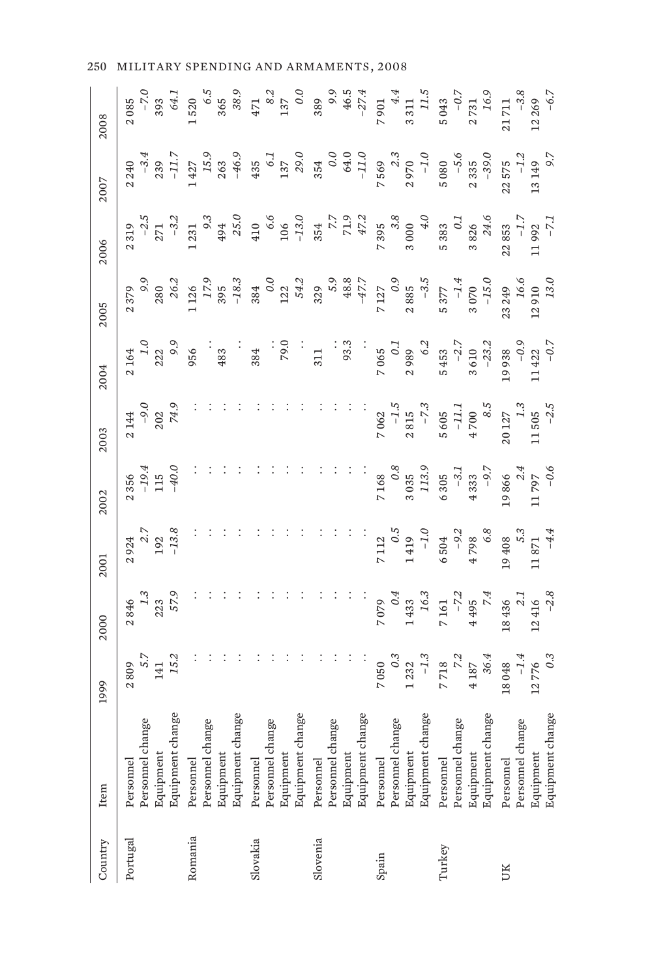| Country  | Item                                                           | 1999                                                               | 2000                                                                      | 2001                                                                      | 2002                                                             | 2003                                                             | 2004                                                                     | 2005                                 | 2006                                                           | 2007                                                           | 2008                                                                                                                   |
|----------|----------------------------------------------------------------|--------------------------------------------------------------------|---------------------------------------------------------------------------|---------------------------------------------------------------------------|------------------------------------------------------------------|------------------------------------------------------------------|--------------------------------------------------------------------------|--------------------------------------|----------------------------------------------------------------|----------------------------------------------------------------|------------------------------------------------------------------------------------------------------------------------|
| Portugal | Equipment change<br>Personnel change<br>Equipment<br>Personnel | $\begin{array}{c} 141 \\ 15.2 \end{array}$<br>$\ddot{5}$ .<br>2809 | 57.9<br>223<br>2846                                                       | $\begin{array}{c} 2.7 \\ 192 \\ -13.8 \end{array}$<br>2924                | $-19.4$<br>115<br>$-40.0$<br>2356                                | $2144$<br>-9.6<br>202<br>74.9                                    | $\begin{array}{c} 1.0 \\ 222 \end{array}$<br>66<br>2164                  | $2\,379$<br>$9.1$<br>$280$<br>$26.2$ | $-2.5$<br>271                                                  | $-11.$<br>$-3.$<br>2240<br>239                                 |                                                                                                                        |
| Romania  | Equipment change<br>Personnel change<br>Equipment<br>Personnel |                                                                    |                                                                           |                                                                           |                                                                  |                                                                  | 956<br>483                                                               | $-18.3$<br>1 1 2 6<br>17.<br>395     | $\circ$ .<br>25.0<br>$-3.2$<br>1 231<br>494                    | $-46.9$<br>1427<br>15.9<br>263                                 |                                                                                                                        |
| Slovakia | Equipment change<br>Personnel change<br>Equipment<br>Personnel |                                                                    |                                                                           |                                                                           |                                                                  |                                                                  | 79.0<br>384                                                              | 0.0<br>$122$<br>54.2<br>384          | $\frac{106}{-13.0}$<br>6.6<br>410                              | $\begin{array}{c} 137 \\ 29.0 \end{array}$<br>$\circ$ .<br>435 | $\begin{array}{r} 2.085\\ -7.0\\ 393\\ -820\\ 1\ 520\\ 365\\ 365\\ 471\\ 8.2\\ 30\\ 47\\ 37\\ 0\\ 0\\ 0\\ \end{array}$ |
| Slovenia | Equipment change<br>Personnel change<br>Equipment<br>Personnel |                                                                    |                                                                           |                                                                           |                                                                  |                                                                  | 93.3<br>311                                                              | $5.9$<br>48.8<br>47.7<br>329         | $7.7$<br>7.7<br>7.7<br>7.9<br>7.2                              | 0.0<br>$64.0$<br>-11.0<br>354                                  | $389$<br>9.9<br>46.5<br>46.5                                                                                           |
| Spain    | Equipment change<br>Personnel change<br>Equipment<br>Personnel | $\overline{0.3}$<br>$1232$<br>-1.3<br>7050                         | $\begin{array}{c} 1\,433 \\ 16.3 \end{array}$<br>$\overline{O}$ .<br>7079 | $\begin{array}{r} 7 \ 112 \\ \, 0.5 \\ \, 1 \ 419 \\ \, -1.0 \end{array}$ |                                                                  | $7062$<br>-1.5<br>2 815<br>-7.3                                  | $2989$<br>$6.2$<br>$7\,065$ $0.1$                                        | $7127$<br>0.9<br>0.9<br>0.9<br>0.885 | $7\ 395\n3.8\n3.000\n4.0$                                      | 7569<br>2.3<br>2970<br>$-1.0$                                  | $\begin{array}{c} 4.4 \\ 3 \; 311 \\ 11.5 \end{array}$<br>7901                                                         |
| Turkey   | Equipment change<br>Personnel change<br>Equipment<br>Personnel | $\begin{array}{r} 718 \\ 718 \\ 4187 \\ 36.4 \end{array}$          | 7 161<br>-7.2<br>4 495<br>4 495                                           | $6\,504$ $-9.2$ $4\,798$ $6.8$                                            | 7 168<br>$3.035$<br>$3.133.9$<br>$6.305$<br>$-3.1$<br>$-9.7$     | $5605$<br>-11.1<br>4 700<br>8.5                                  | $5453$<br>$-2.7$<br>$3610$<br>$-23.2$                                    | 5 377<br>-1.4<br>3 070<br>3 070      | $\begin{array}{r} 5\,383 \\ 0.1 \\ 3\,826 \\ 24.6 \end{array}$ | $-5.6$<br>$2335$<br>-39.0<br>5080                              | $5043$<br>$-0.7$<br>$2731$<br>$16.9$                                                                                   |
| UK       | Equipment change<br>Personnel change<br>Equipment<br>Personnel | $-1.4$<br>12776<br>0.3<br>18048                                    | $\begin{array}{r} 18\,436 \\ 2.1 \\ 12\,416 \\ -2.8 \end{array}$          | $\begin{array}{c} 19\,408 \\ 5.3 \\ 11\,871 \\ -4.4 \end{array}$          | $\begin{array}{r} 19\,866 \\ 2.4 \\ 11\,797 \\ -0.6 \end{array}$ | $\begin{array}{c} 20\,127 \\ 1.3 \\ 11\,505 \\ -2.5 \end{array}$ | $\begin{array}{r} 19\,938 \\ -0.9 \\ \text{11}\,422 \\ -0.7 \end{array}$ | 23 249<br>16.6<br>12 910<br>13.0     | $\begin{array}{r} 22853 \\ -1.5 \\ 11992 \\ -7.1 \end{array}$  | $-1.2$<br>13 149<br>9.7<br>22575                               | $\begin{array}{r} 21\,711 \\ -3.8 \\ 12\,269 \\ -6.7 \end{array}$                                                      |

250 MILITARY SPENDING AND ARMAMENTS, 2008